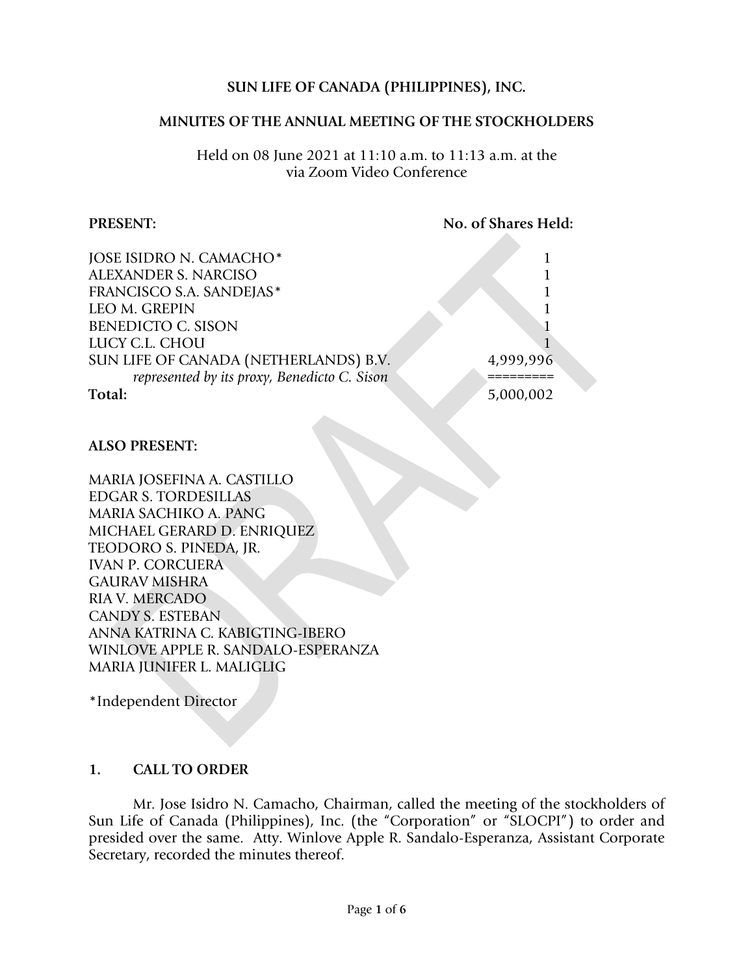# **SUN LIFE OF CANADA (PHILIPPINES), INC.**

#### **MINUTES OF THE ANNUAL MEETING OF THE STOCKHOLDERS**

Held on 08 June 2021 at 11:10 a.m. to 11:13 a.m. at the via Zoom Video Conference

#### **PRESENT:** No. of Shares Held:

| JOSE ISIDRO N. CAMACHO*                      |           |
|----------------------------------------------|-----------|
| <b>ALEXANDER S. NARCISO</b>                  |           |
| FRANCISCO S.A. SANDEJAS*                     |           |
| <b>LEO M. GREPIN</b>                         |           |
| <b>BENEDICTO C. SISON</b>                    |           |
| LUCY C.L. CHOU                               |           |
| SUN LIFE OF CANADA (NETHERLANDS) B.V.        | 4,999,996 |
| represented by its proxy, Benedicto C. Sison |           |
| Total:                                       | 5,000,002 |

#### **ALSO PRESENT:**

MARIA JOSEFINA A. CASTILLO EDGAR S. TORDESILLAS MARIA SACHIKO A. PANG MICHAEL GERARD D. ENRIQUEZ TEODORO S. PINEDA, JR. IVAN P. CORCUERA GAURAV MISHRA RIA V. MERCADO CANDY S. ESTEBAN ANNA KATRINA C. KABIGTING-IBERO WINLOVE APPLE R. SANDALO-ESPERANZA MARIA JUNIFER L. MALIGLIG

\*Independent Director

## **1. CALL TO ORDER**

Mr. Jose Isidro N. Camacho, Chairman, called the meeting of the stockholders of Sun Life of Canada (Philippines), Inc. (the "Corporation" or "SLOCPI") to order and presided over the same. Atty. Winlove Apple R. Sandalo-Esperanza, Assistant Corporate Secretary, recorded the minutes thereof.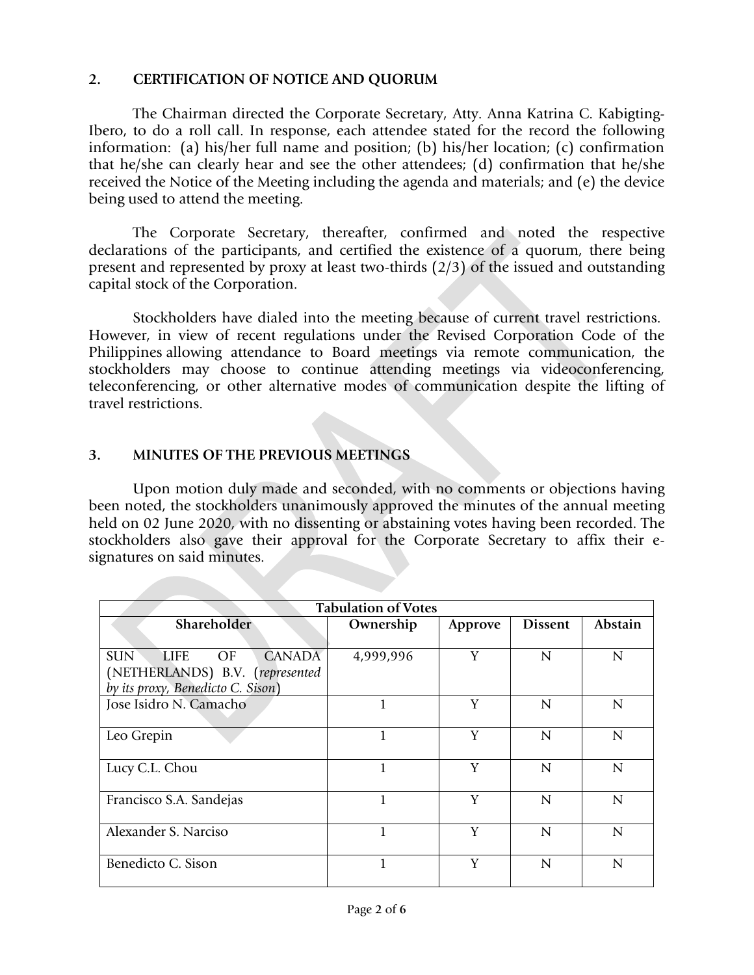## **2. CERTIFICATION OF NOTICE AND QUORUM**

The Chairman directed the Corporate Secretary, Atty. Anna Katrina C. Kabigting-Ibero, to do a roll call. In response, each attendee stated for the record the following information: (a) his/her full name and position; (b) his/her location; (c) confirmation that he/she can clearly hear and see the other attendees; (d) confirmation that he/she received the Notice of the Meeting including the agenda and materials; and (e) the device being used to attend the meeting.

The Corporate Secretary, thereafter, confirmed and noted the respective declarations of the participants, and certified the existence of a quorum, there being present and represented by proxy at least two-thirds (2/3) of the issued and outstanding capital stock of the Corporation.

Stockholders have dialed into the meeting because of current travel restrictions. However, in view of recent regulations under the Revised Corporation Code of the Philippines allowing attendance to Board meetings via remote communication, the stockholders may choose to continue attending meetings via videoconferencing, teleconferencing, or other alternative modes of communication despite the lifting of travel restrictions.

# **3. MINUTES OF THE PREVIOUS MEETINGS**

Upon motion duly made and seconded, with no comments or objections having been noted, the stockholders unanimously approved the minutes of the annual meeting held on 02 June 2020, with no dissenting or abstaining votes having been recorded. The stockholders also gave their approval for the Corporate Secretary to affix their esignatures on said minutes.

| <b>Tabulation of Votes</b>                                                           |           |         |                |                |  |
|--------------------------------------------------------------------------------------|-----------|---------|----------------|----------------|--|
| Shareholder                                                                          | Ownership | Approve | <b>Dissent</b> | Abstain        |  |
| <b>SUN</b><br><b>CANADA</b><br><b>LIFE</b><br>OF.<br>(NETHERLANDS) B.V. (represented | 4,999,996 | Y       | N              | $\mathbf N$    |  |
| by its proxy, Benedicto C. Sison)                                                    |           |         |                |                |  |
| Jose Isidro N. Camacho                                                               |           | Y       | N              | $\overline{N}$ |  |
| Leo Grepin                                                                           |           | Y       | N              | $\mathbf N$    |  |
| Lucy C.L. Chou                                                                       | 1         | Y       | N              | $\mathbf N$    |  |
| Francisco S.A. Sandejas                                                              | 1         | Y       | N              | N              |  |
| Alexander S. Narciso                                                                 | 1         | Y       | N              | $\overline{N}$ |  |
| Benedicto C. Sison                                                                   |           | Y       | N              | N              |  |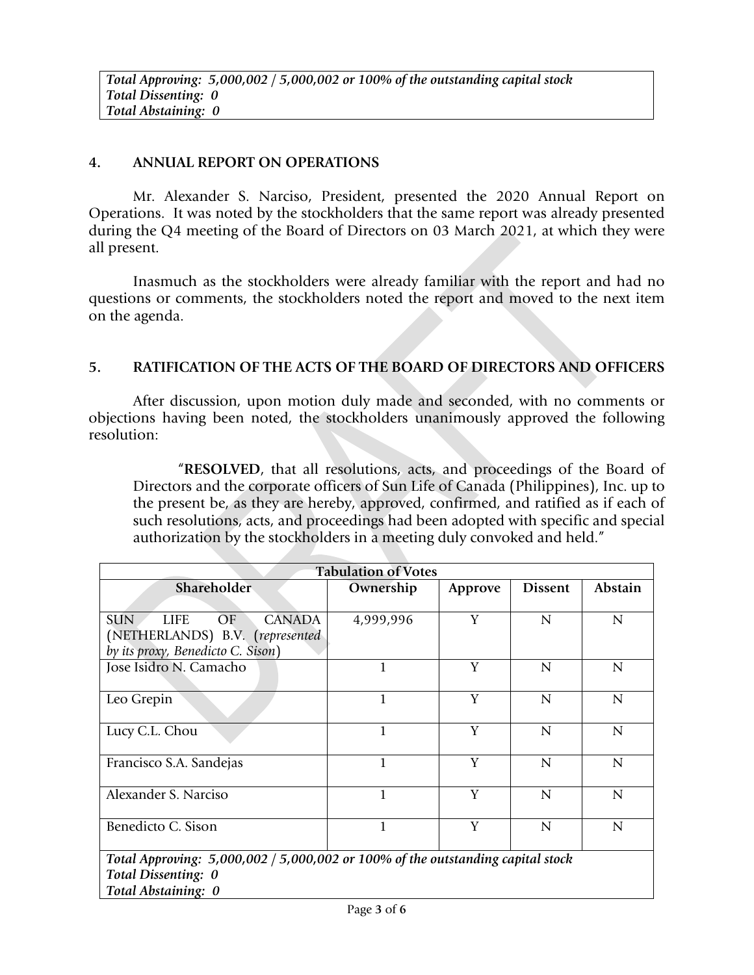# **4. ANNUAL REPORT ON OPERATIONS**

Mr. Alexander S. Narciso, President, presented the 2020 Annual Report on Operations. It was noted by the stockholders that the same report was already presented during the Q4 meeting of the Board of Directors on 03 March 2021, at which they were all present.

Inasmuch as the stockholders were already familiar with the report and had no questions or comments, the stockholders noted the report and moved to the next item on the agenda.

## **5. RATIFICATION OF THE ACTS OF THE BOARD OF DIRECTORS AND OFFICERS**

After discussion, upon motion duly made and seconded, with no comments or objections having been noted, the stockholders unanimously approved the following resolution:

"**RESOLVED**, that all resolutions, acts, and proceedings of the Board of Directors and the corporate officers of Sun Life of Canada (Philippines), Inc. up to the present be, as they are hereby, approved, confirmed, and ratified as if each of such resolutions, acts, and proceedings had been adopted with specific and special authorization by the stockholders in a meeting duly convoked and held."

| <b>Tabulation of Votes</b>                                                        |              |         |                |                |  |  |
|-----------------------------------------------------------------------------------|--------------|---------|----------------|----------------|--|--|
| Shareholder                                                                       | Ownership    | Approve | <b>Dissent</b> | Abstain        |  |  |
|                                                                                   |              |         |                |                |  |  |
| <b>SUN</b><br><b>LIFE</b><br><b>CANADA</b><br>OF                                  | 4,999,996    | Y       | N              | $\overline{N}$ |  |  |
| (NETHERLANDS) B.V. (represented                                                   |              |         |                |                |  |  |
| by its proxy, Benedicto C. Sison)                                                 |              |         |                |                |  |  |
| Jose Isidro N. Camacho                                                            | 1            | Y       | $\overline{N}$ | N              |  |  |
|                                                                                   |              |         |                |                |  |  |
| Leo Grepin                                                                        | $\mathbf{1}$ | Y       | $\overline{N}$ | $\mathbf N$    |  |  |
|                                                                                   |              |         |                |                |  |  |
| Lucy C.L. Chou                                                                    | $\mathbf{1}$ | Y       | $\overline{N}$ | $\overline{N}$ |  |  |
|                                                                                   |              |         |                |                |  |  |
| Francisco S.A. Sandejas                                                           | $\mathbf{1}$ | Y       | $\mathbf N$    | $\overline{N}$ |  |  |
|                                                                                   |              |         |                |                |  |  |
| Alexander S. Narciso                                                              | $\mathbf{1}$ | Y       | $\overline{N}$ | $\overline{N}$ |  |  |
|                                                                                   |              |         |                |                |  |  |
| Benedicto C. Sison                                                                | $\mathbf{1}$ | Y       | $\overline{N}$ | $\overline{N}$ |  |  |
|                                                                                   |              |         |                |                |  |  |
| Total Approving: $5,000,002 / 5,000,002$ or 100% of the outstanding capital stock |              |         |                |                |  |  |
| Total Dissenting: 0                                                               |              |         |                |                |  |  |
| Total Abstaining: 0                                                               |              |         |                |                |  |  |
|                                                                                   |              |         |                |                |  |  |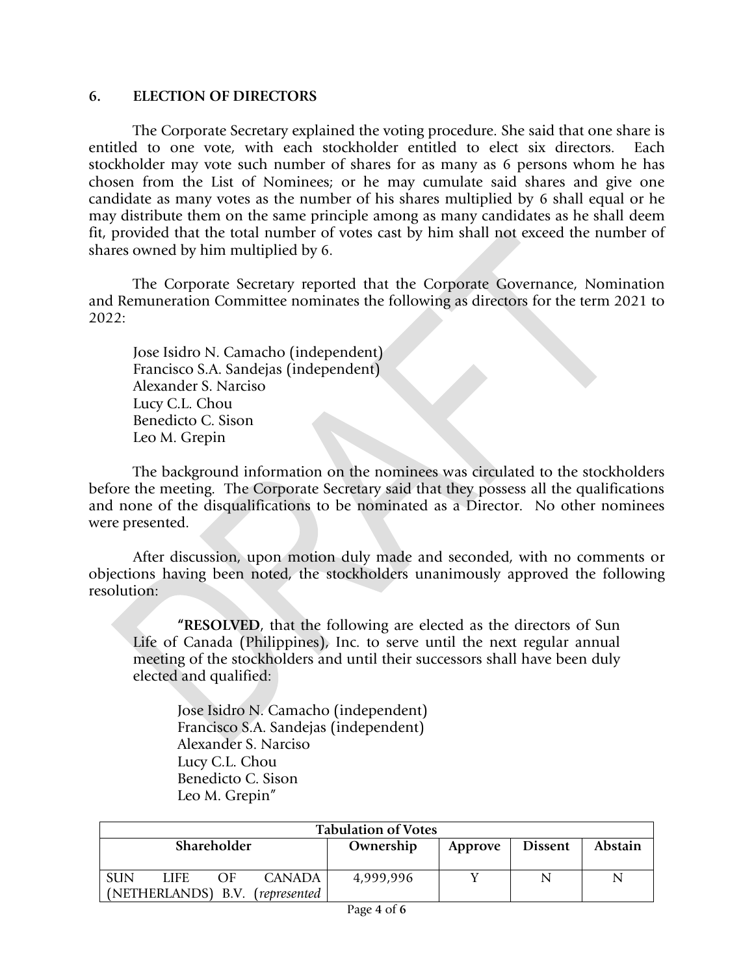#### **6. ELECTION OF DIRECTORS**

The Corporate Secretary explained the voting procedure. She said that one share is entitled to one vote, with each stockholder entitled to elect six directors. Each stockholder may vote such number of shares for as many as 6 persons whom he has chosen from the List of Nominees; or he may cumulate said shares and give one candidate as many votes as the number of his shares multiplied by 6 shall equal or he may distribute them on the same principle among as many candidates as he shall deem fit, provided that the total number of votes cast by him shall not exceed the number of shares owned by him multiplied by 6.

The Corporate Secretary reported that the Corporate Governance, Nomination and Remuneration Committee nominates the following as directors for the term 2021 to 2022:

Jose Isidro N. Camacho (independent) Francisco S.A. Sandejas (independent) Alexander S. Narciso Lucy C.L. Chou Benedicto C. Sison Leo M. Grepin

The background information on the nominees was circulated to the stockholders before the meeting. The Corporate Secretary said that they possess all the qualifications and none of the disqualifications to be nominated as a Director. No other nominees were presented.

After discussion, upon motion duly made and seconded, with no comments or objections having been noted, the stockholders unanimously approved the following resolution:

**"RESOLVED**, that the following are elected as the directors of Sun Life of Canada (Philippines), Inc. to serve until the next regular annual meeting of the stockholders and until their successors shall have been duly elected and qualified:

Jose Isidro N. Camacho (independent) Francisco S.A. Sandejas (independent) Alexander S. Narciso Lucy C.L. Chou Benedicto C. Sison Leo M. Grepin"

| <b>Tabulation of Votes</b> |                    |            |               |           |                |                |   |
|----------------------------|--------------------|------------|---------------|-----------|----------------|----------------|---|
| <b>Shareholder</b>         |                    |            | Ownership     | Approve   | <b>Dissent</b> | <b>Abstain</b> |   |
|                            |                    |            |               |           |                |                |   |
| <b>SUN</b>                 | LIFE               | $\Omega$ F | <b>CANADA</b> | 4,999,996 |                | N              | N |
|                            | (NETHERLANDS) B.V. |            | (represented) |           |                |                |   |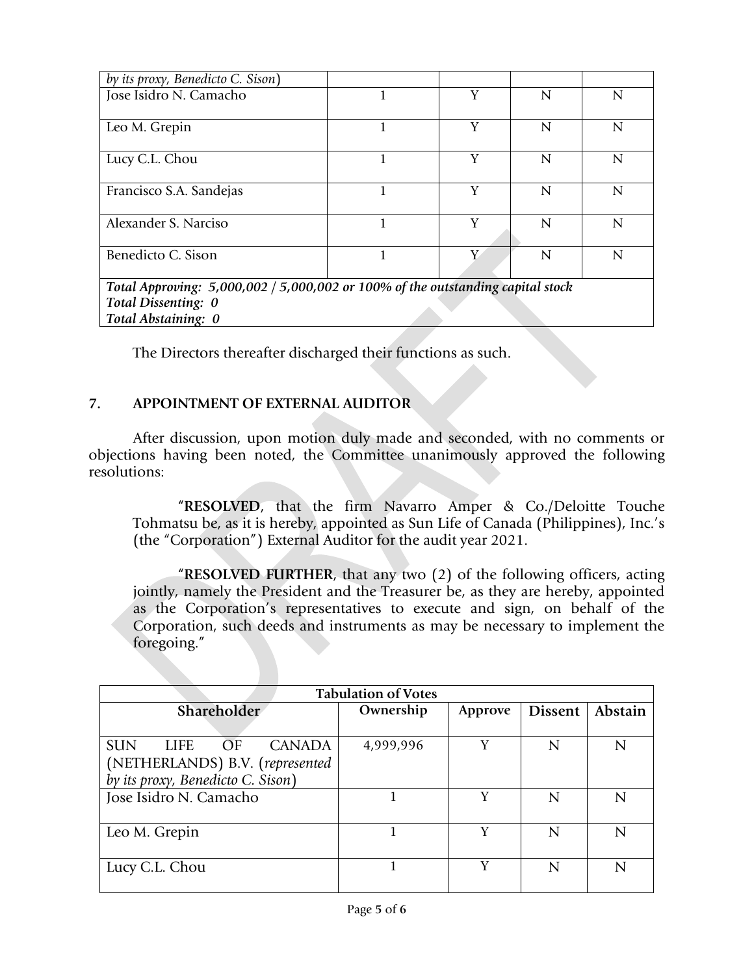| by its proxy, Benedicto C. Sison)                                                 |  |   |   |                |  |  |
|-----------------------------------------------------------------------------------|--|---|---|----------------|--|--|
| Jose Isidro N. Camacho                                                            |  | Y | N | N              |  |  |
|                                                                                   |  |   |   |                |  |  |
| Leo M. Grepin                                                                     |  | Y | N | N              |  |  |
| Lucy C.L. Chou                                                                    |  | Y | N | N              |  |  |
| Francisco S.A. Sandejas                                                           |  | Y | N | N              |  |  |
| Alexander S. Narciso                                                              |  | V | N | N              |  |  |
| Benedicto C. Sison                                                                |  | Y | N | $\overline{N}$ |  |  |
| Total Approving: $5,000,002 / 5,000,002$ or 100% of the outstanding capital stock |  |   |   |                |  |  |
| Total Dissenting: 0                                                               |  |   |   |                |  |  |
| Total Abstaining: 0                                                               |  |   |   |                |  |  |

The Directors thereafter discharged their functions as such.

# **7. APPOINTMENT OF EXTERNAL AUDITOR**

After discussion, upon motion duly made and seconded, with no comments or objections having been noted, the Committee unanimously approved the following resolutions:

"**RESOLVED**, that the firm Navarro Amper & Co./Deloitte Touche Tohmatsu be, as it is hereby, appointed as Sun Life of Canada (Philippines), Inc.'s (the "Corporation") External Auditor for the audit year 2021.

"**RESOLVED FURTHER**, that any two (2) of the following officers, acting jointly, namely the President and the Treasurer be, as they are hereby, appointed as the Corporation's representatives to execute and sign, on behalf of the Corporation, such deeds and instruments as may be necessary to implement the foregoing."

| <b>Tabulation of Votes</b>                       |           |         |                |         |  |
|--------------------------------------------------|-----------|---------|----------------|---------|--|
| <b>Shareholder</b>                               | Ownership | Approve | <b>Dissent</b> | Abstain |  |
|                                                  |           |         |                |         |  |
| <b>SUN</b><br>OF<br><b>LIFE</b><br><b>CANADA</b> | 4,999,996 | Y       | N              | N       |  |
| (NETHERLANDS) B.V. (represented                  |           |         |                |         |  |
| by its proxy, Benedicto C. Sison)                |           |         |                |         |  |
| Jose Isidro N. Camacho                           |           | V       | N              | N       |  |
|                                                  |           |         |                |         |  |
| Leo M. Grepin                                    |           | V       | N              | N       |  |
|                                                  |           |         |                |         |  |
| Lucy C.L. Chou                                   |           | v       | N              | N       |  |
|                                                  |           |         |                |         |  |